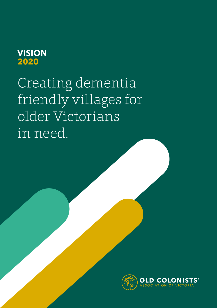## **VISION 2020**

Creating dementia friendly villages for older Victorians in need.

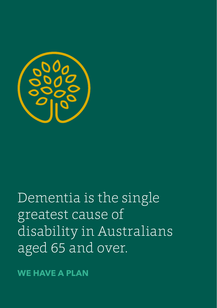

# Dementia is the single greatest cause of disability in Australians aged 65 and over.

**WE HAVE A PLAN**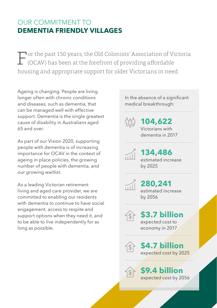### OUR COMMITMENT TO **DEMENTIA FRIENDLY VILLAGES**

For the past 150 years, the Old Colonists' Association of Victoria (OCAV) has been at the forefront of providing affordable housing and appropriate support for older Victorians in need.

Ageing is changing. People are living longer often with chronic conditions and diseases, such as dementia, that can be managed well with effective support. Dementia is the single greatest cause of disability in Australians aged 65 and over.

As part of our Vision 2020, supporting people with dementia is of increasing importance for OCAV in the context of ageing in place policies, the growing number of people with dementia, and our growing waitlist.

As a leading Victorian retirement living and aged care provider, we are committed to enabling our residents with dementia to continue to have social engagement, access to respite and support options when they need it, and to be able to live independently for as long as possible.

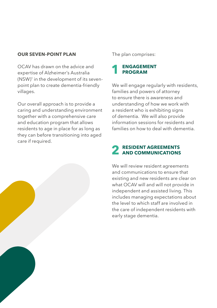#### **OUR SEVEN-POINT PLAN**

OCAV has drawn on the advice and expertise of Alzheimer's Australia (NSW)<sup>1</sup> in the development of its sevenpoint plan to create dementia-friendly villages.

Our overall approach is to provide a caring and understanding environment together with a comprehensive care and education program that allows residents to age in place for as long as they can before transitioning into aged care if required.

The plan comprises:



We will engage regularly with residents, families and powers of attorney to ensure there is awareness and understanding of how we work with a resident who is exhibiting signs of dementia. We will also provide information sessions for residents and families on how to deal with dementia.

## **2 RESIDENT AGREEMENTS AND COMMUNICATIONS**

We will review resident agreements and communications to ensure that existing and new residents are clear on what OCAV will and will not provide in independent and assisted living. This includes managing expectations about the level to which staff are involved in the care of independent residents with early stage dementia.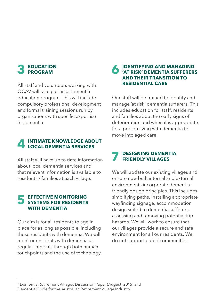## **3 EDUCATION PROGRAM**

All staff and volunteers working with OCAV will take part in a dementia education program. This will include compulsory professional development and formal training sessions run by organisations with specific expertise in dementia.

## **4 INTIMATE KNOWLEDGE ABOUT LOCAL DEMENTIA SERVICES**

All staff will have up to date information about local dementia services and that relevant information is available to residents / families at each village.

### **5 EFFECTIVE MONITORING SYSTEMS FOR RESIDENTS WITH DEMENTIA**

Our aim is for all residents to age in place for as long as possible, including those residents with dementia. We will monitor residents with dementia at regular intervals through both human touchpoints and the use of technology.

### **6 IDENTIFYING AND MANAGING 'AT RISK' DEMENTIA SUFFERERS AND THEIR TRANSITION TO RESIDENTIAL CARE**

Our staff will be trained to identify and manage 'at risk' dementia sufferers. This includes education for staff, residents and families about the early signs of deterioration and when it is appropriate for a person living with dementia to move into aged care.

## **7 DESIGNING DEMENTIA FRIENDLY VILLAGES**

We will update our existing villages and ensure new built internal and external environments incorporate dementiafriendly design principles. This includes simplifying paths, installing appropriate wayfinding signage, accommodation design suited to dementia sufferers, assessing and removing potential trip hazards. We will work to ensure that our villages provide a secure and safe environment for all our residents. We do not support gated communities.

<sup>1</sup> Dementia Retirement Villages Discussion Paper (August, 2015) and Dementia Guide for the Australian Retirement Village Industry.